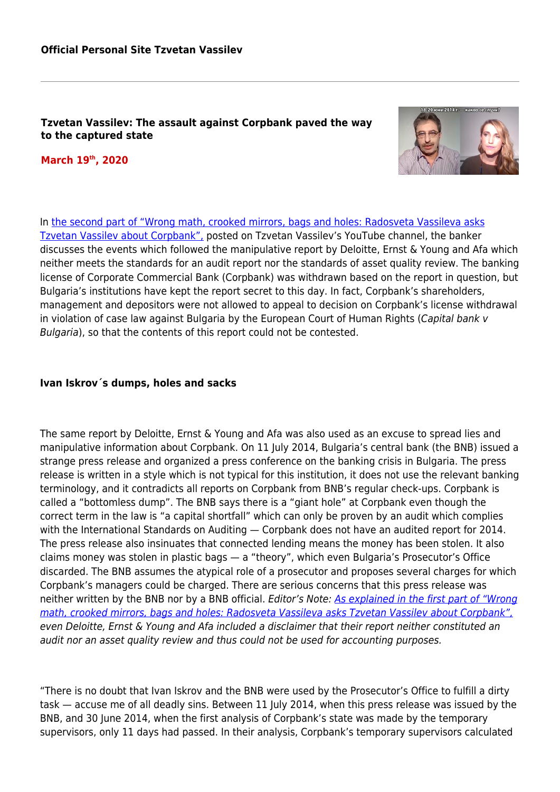### **Tzvetan Vassilev: The assault against Corpbank paved the way to the captured state**

**March 19th, 2020**



In [the second part of "Wrong math, crooked mirrors, bags and holes: Radosveta Vassileva asks](https://www.youtube.com/watch?v=6H92iKXIGpo&feature=youtu.be) [Tzvetan Vassilev about Corpbank",](https://www.youtube.com/watch?v=6H92iKXIGpo&feature=youtu.be) posted on Tzvetan Vassilev's YouTube channel, the banker discusses the events which followed the manipulative report by Deloitte, Ernst & Young and Afa which neither meets the standards for an audit report nor the standards of asset quality review. The banking license of Corporate Commercial Bank (Corpbank) was withdrawn based on the report in question, but Bulgaria's institutions have kept the report secret to this day. In fact, Corpbank's shareholders, management and depositors were not allowed to appeal to decision on Corpbank's license withdrawal in violation of case law against Bulgaria by the European Court of Human Rights (Capital bank v Bulgaria), so that the contents of this report could not be contested.

### **Ivan Iskrov´s dumps, holes and sacks**

The same report by Deloitte, Ernst & Young and Afa was also used as an excuse to spread lies and manipulative information about Corpbank. On 11 July 2014, Bulgaria's central bank (the BNB) issued a strange press release and organized a press conference on the banking crisis in Bulgaria. The press release is written in a style which is not typical for this institution, it does not use the relevant banking terminology, and it contradicts all reports on Corpbank from BNB's regular check-ups. Corpbank is called a "bottomless dump". The BNB says there is a "giant hole" at Corpbank even though the correct term in the law is "a capital shortfall" which can only be proven by an audit which complies with the International Standards on Auditing — Corpbank does not have an audited report for 2014. The press release also insinuates that connected lending means the money has been stolen. It also claims money was stolen in plastic bags — a "theory", which even Bulgaria's Prosecutor's Office discarded. The BNB assumes the atypical role of a prosecutor and proposes several charges for which Corpbank's managers could be charged. There are serious concerns that this press release was neither written by the BNB nor by a BNB official. Editor's Note: [As explained in the first part of "Wrong](#page--1-0) [math, crooked mirrors, bags and holes: Radosveta Vassileva asks Tzvetan Vassilev about Corpbank",](#page--1-0) even Deloitte, Ernst & Young and Afa included a disclaimer that their report neither constituted an audit nor an asset quality review and thus could not be used for accounting purposes.

"There is no doubt that Ivan Iskrov and the BNB were used by the Prosecutor's Office to fulfill a dirty task — accuse me of all deadly sins. Between 11 July 2014, when this press release was issued by the BNB, and 30 June 2014, when the first analysis of Corpbank's state was made by the temporary supervisors, only 11 days had passed. In their analysis, Corpbank's temporary supervisors calculated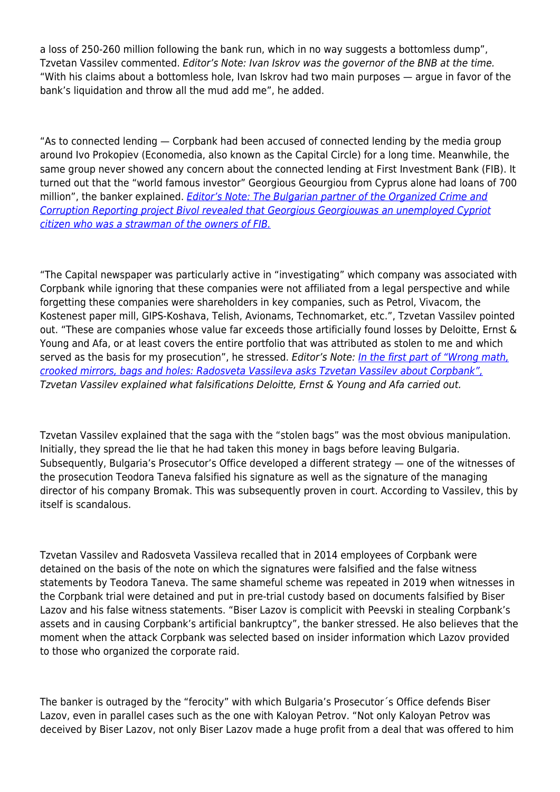a loss of 250-260 million following the bank run, which in no way suggests a bottomless dump", Tzvetan Vassilev commented. Editor's Note: Ivan Iskrov was the governor of the BNB at the time. "With his claims about a bottomless hole, Ivan Iskrov had two main purposes — argue in favor of the bank's liquidation and throw all the mud add me", he added.

"As to connected lending — Corpbank had been accused of connected lending by the media group around Ivo Prokopiev (Economedia, also known as the Capital Circle) for a long time. Meanwhile, the same group never showed any concern about the connected lending at First Investment Bank (FIB). It turned out that the "world famous investor" Georgious Geourgiou from Cyprus alone had loans of 700 million", the banker explained. *[Editor's Note:](https://bivol.bg/cacarov-yulen.html) [The Bulgarian partner of the Organized Crime and](https://bivol.bg/cacarov-yulen.html)* [Corruption Reporting project Bivol revealed that Georgious Georgiouwas an unemployed Cypriot](https://bivol.bg/cacarov-yulen.html) [citizen who was a strawman of the owners of FIB.](https://bivol.bg/cacarov-yulen.html)

"The Capital newspaper was particularly active in "investigating" which company was associated with Corpbank while ignoring that these companies were not affiliated from a legal perspective and while forgetting these companies were shareholders in key companies, such as Petrol, Vivacom, the Kostenest paper mill, GIPS-Koshava, Telish, Avionams, Technomarket, etc.", Tzvetan Vassilev pointed out. "These are companies whose value far exceeds those artificially found losses by Deloitte, Ernst & Young and Afa, or at least covers the entire portfolio that was attributed as stolen to me and which served as the basis for my prosecution", he stressed. Editor's Note: [In the first part of "Wrong math,](#page--1-0) [crooked mirrors, bags and holes: Radosveta Vassileva asks Tzvetan Vassilev about Corpbank",](#page--1-0) Tzvetan Vassilev explained what falsifications Deloitte, Ernst & Young and Afa carried out.

Tzvetan Vassilev explained that the saga with the "stolen bags" was the most obvious manipulation. Initially, they spread the lie that he had taken this money in bags before leaving Bulgaria. Subsequently, Bulgaria's Prosecutor's Office developed a different strategy — one of the witnesses of the prosecution Teodora Taneva falsified his signature as well as the signature of the managing director of his company Bromak. This was subsequently proven in court. According to Vassilev, this by itself is scandalous.

Tzvetan Vassilev and Radosveta Vassileva recalled that in 2014 employees of Corpbank were detained on the basis of the note on which the signatures were falsified and the false witness statements by Teodora Taneva. The same shameful scheme was repeated in 2019 when witnesses in the Corpbank trial were detained and put in pre-trial custody based on documents falsified by Biser Lazov and his false witness statements. "Biser Lazov is complicit with Peevski in stealing Corpbank's assets and in causing Corpbank's artificial bankruptcy", the banker stressed. He also believes that the moment when the attack Corpbank was selected based on insider information which Lazov provided to those who organized the corporate raid.

The banker is outraged by the "ferocity" with which Bulgaria's Prosecutor´s Office defends Biser Lazov, even in parallel cases such as the one with Kaloyan Petrov. "Not only Kaloyan Petrov was deceived by Biser Lazov, not only Biser Lazov made a huge profit from a deal that was offered to him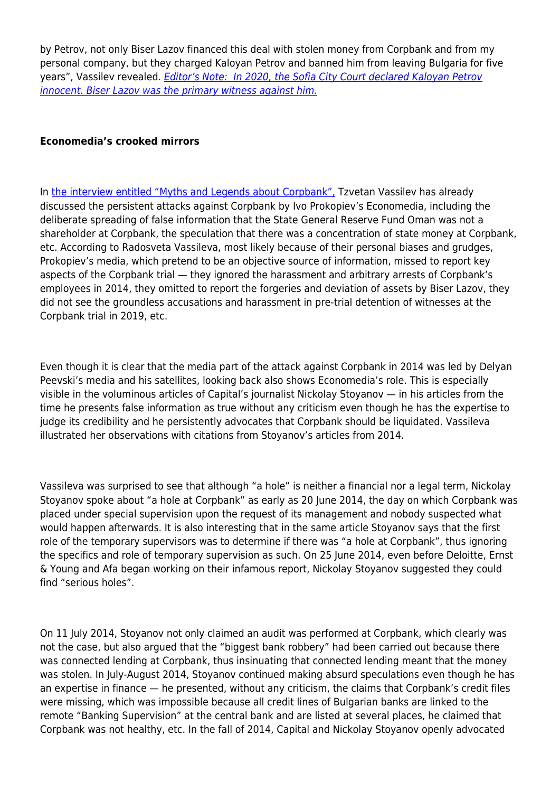by Petrov, not only Biser Lazov financed this deal with stolen money from Corpbank and from my personal company, but they charged Kaloyan Petrov and banned him from leaving Bulgaria for five years", Vassilev revealed. [Editor's Note: In 2020, the Sofia City Court declared Kaloyan Petrov](https://www.youtube.com/watch?v=fgWZIJ7lpkc) [innocent. Biser Lazov was the primary witness against him.](https://www.youtube.com/watch?v=fgWZIJ7lpkc)

# **Economedia's crooked mirrors**

In [the interview entitled "Myths and Legends about Corpbank",](#page--1-0) Tzvetan Vassilev has already discussed the persistent attacks against Corpbank by Ivo Prokopiev's Economedia, including the deliberate spreading of false information that the State General Reserve Fund Oman was not a shareholder at Corpbank, the speculation that there was a concentration of state money at Corpbank, etc. According to Radosveta Vassileva, most likely because of their personal biases and grudges, Prokopiev's media, which pretend to be an objective source of information, missed to report key aspects of the Corpbank trial — they ignored the harassment and arbitrary arrests of Corpbank's employees in 2014, they omitted to report the forgeries and deviation of assets by Biser Lazov, they did not see the groundless accusations and harassment in pre-trial detention of witnesses at the Corpbank trial in 2019, etc.

Even though it is clear that the media part of the attack against Corpbank in 2014 was led by Delyan Peevski's media and his satellites, looking back also shows Economedia's role. This is especially visible in the voluminous articles of Capital's journalist Nickolay Stoyanov — in his articles from the time he presents false information as true without any criticism even though he has the expertise to judge its credibility and he persistently advocates that Corpbank should be liquidated. Vassileva illustrated her observations with citations from Stoyanov's articles from 2014.

Vassileva was surprised to see that although "a hole" is neither a financial nor a legal term, Nickolay Stoyanov spoke about "a hole at Corpbank" as early as 20 June 2014, the day on which Corpbank was placed under special supervision upon the request of its management and nobody suspected what would happen afterwards. It is also interesting that in the same article Stoyanov says that the first role of the temporary supervisors was to determine if there was "a hole at Corpbank", thus ignoring the specifics and role of temporary supervision as such. On 25 June 2014, even before Deloitte, Ernst & Young and Afa began working on their infamous report, Nickolay Stoyanov suggested they could find "serious holes".

On 11 July 2014, Stoyanov not only claimed an audit was performed at Corpbank, which clearly was not the case, but also argued that the "biggest bank robbery" had been carried out because there was connected lending at Corpbank, thus insinuating that connected lending meant that the money was stolen. In July-August 2014, Stoyanov continued making absurd speculations even though he has an expertise in finance — he presented, without any criticism, the claims that Corpbank's credit files were missing, which was impossible because all credit lines of Bulgarian banks are linked to the remote "Banking Supervision" at the central bank and are listed at several places, he claimed that Corpbank was not healthy, etc. In the fall of 2014, Capital and Nickolay Stoyanov openly advocated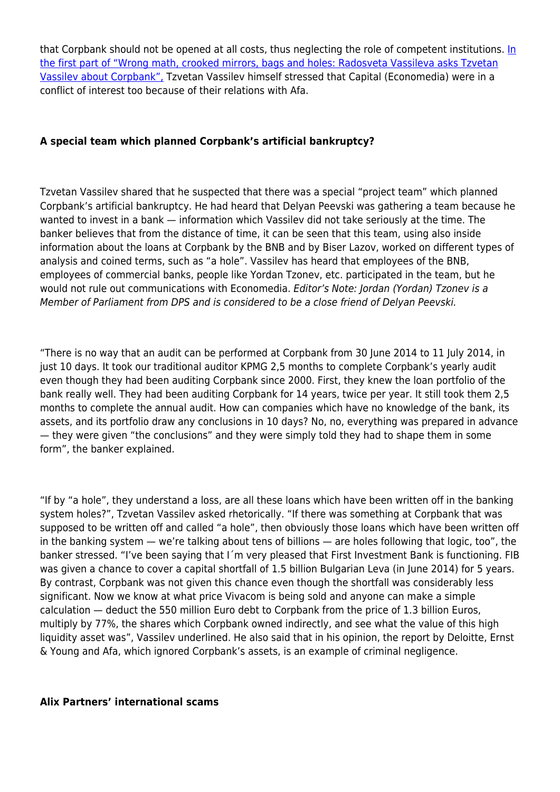that Corpbank should not be opened at all costs, thus neglecting the role of competent institutions. [In](#page--1-0) [the first part of "Wrong math, crooked mirrors, bags and holes: Radosveta Vassileva asks Tzvetan](#page--1-0) [Vassilev about Corpbank",](#page--1-0) Tzvetan Vassilev himself stressed that Capital (Economedia) were in a conflict of interest too because of their relations with Afa.

# **A special team which planned Corpbank's artificial bankruptcy?**

Tzvetan Vassilev shared that he suspected that there was a special "project team" which planned Corpbank's artificial bankruptcy. He had heard that Delyan Peevski was gathering a team because he wanted to invest in a bank — information which Vassilev did not take seriously at the time. The banker believes that from the distance of time, it can be seen that this team, using also inside information about the loans at Corpbank by the BNB and by Biser Lazov, worked on different types of analysis and coined terms, such as "a hole". Vassilev has heard that employees of the BNB, employees of commercial banks, people like Yordan Tzonev, etc. participated in the team, but he would not rule out communications with Economedia. Editor's Note: Jordan (Yordan) Tzonev is a Member of Parliament from DPS and is considered to be a close friend of Delyan Peevski.

"There is no way that an audit can be performed at Corpbank from 30 June 2014 to 11 July 2014, in just 10 days. It took our traditional auditor KPMG 2,5 months to complete Corpbank's yearly audit even though they had been auditing Corpbank since 2000. First, they knew the loan portfolio of the bank really well. They had been auditing Corpbank for 14 years, twice per year. It still took them 2,5 months to complete the annual audit. How can companies which have no knowledge of the bank, its assets, and its portfolio draw any conclusions in 10 days? No, no, everything was prepared in advance — they were given "the conclusions" and they were simply told they had to shape them in some form", the banker explained.

"If by "a hole", they understand a loss, are all these loans which have been written off in the banking system holes?", Tzvetan Vassilev asked rhetorically. "If there was something at Corpbank that was supposed to be written off and called "a hole", then obviously those loans which have been written off in the banking system — we're talking about tens of billions — are holes following that logic, too", the banker stressed. "I've been saying that I´m very pleased that First Investment Bank is functioning. FIB was given a chance to cover a capital shortfall of 1.5 billion Bulgarian Leva (in June 2014) for 5 years. By contrast, Corpbank was not given this chance even though the shortfall was considerably less significant. Now we know at what price Vivacom is being sold and anyone can make a simple calculation — deduct the 550 million Euro debt to Corpbank from the price of 1.3 billion Euros, multiply by 77%, the shares which Corpbank owned indirectly, and see what the value of this high liquidity asset was", Vassilev underlined. He also said that in his opinion, the report by Deloitte, Ernst & Young and Afa, which ignored Corpbank's assets, is an example of criminal negligence.

#### **Alix Partners' international scams**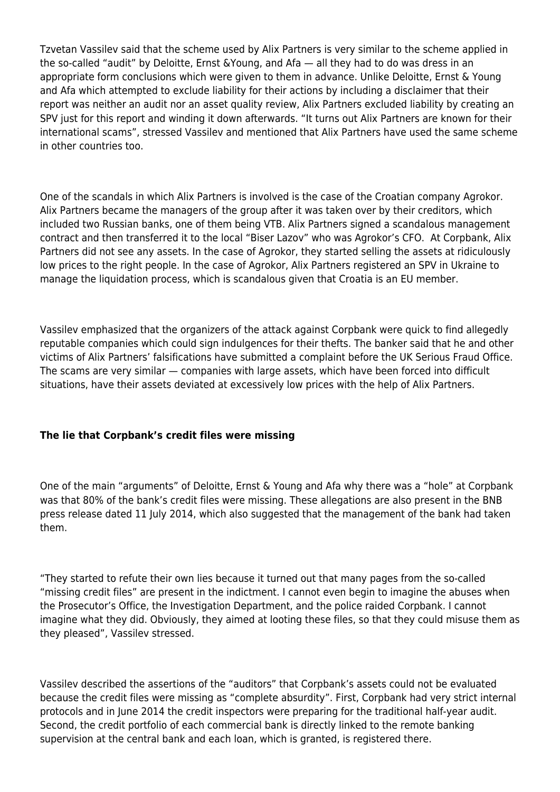Tzvetan Vassilev said that the scheme used by Alix Partners is very similar to the scheme applied in the so-called "audit" by Deloitte, Ernst &Young, and Afa — all they had to do was dress in an appropriate form conclusions which were given to them in advance. Unlike Deloitte, Ernst & Young and Afa which attempted to exclude liability for their actions by including a disclaimer that their report was neither an audit nor an asset quality review, Alix Partners excluded liability by creating an SPV just for this report and winding it down afterwards. "It turns out Alix Partners are known for their international scams", stressed Vassilev and mentioned that Alix Partners have used the same scheme in other countries too.

One of the scandals in which Alix Partners is involved is the case of the Croatian company Agrokor. Alix Partners became the managers of the group after it was taken over by their creditors, which included two Russian banks, one of them being VTB. Alix Partners signed a scandalous management contract and then transferred it to the local "Biser Lazov" who was Agrokor's CFO. At Corpbank, Alix Partners did not see any assets. In the case of Agrokor, they started selling the assets at ridiculously low prices to the right people. In the case of Agrokor, Alix Partners registered an SPV in Ukraine to manage the liquidation process, which is scandalous given that Croatia is an EU member.

Vassilev emphasized that the organizers of the attack against Corpbank were quick to find allegedly reputable companies which could sign indulgences for their thefts. The banker said that he and other victims of Alix Partners' falsifications have submitted a complaint before the UK Serious Fraud Office. The scams are very similar — companies with large assets, which have been forced into difficult situations, have their assets deviated at excessively low prices with the help of Alix Partners.

# **The lie that Corpbank's credit files were missing**

One of the main "arguments" of Deloitte, Ernst & Young and Afa why there was a "hole" at Corpbank was that 80% of the bank's credit files were missing. These allegations are also present in the BNB press release dated 11 July 2014, which also suggested that the management of the bank had taken them.

"They started to refute their own lies because it turned out that many pages from the so-called "missing credit files" are present in the indictment. I cannot even begin to imagine the abuses when the Prosecutor's Office, the Investigation Department, and the police raided Corpbank. I cannot imagine what they did. Obviously, they aimed at looting these files, so that they could misuse them as they pleased", Vassilev stressed.

Vassilev described the assertions of the "auditors" that Corpbank's assets could not be evaluated because the credit files were missing as "complete absurdity". First, Corpbank had very strict internal protocols and in June 2014 the credit inspectors were preparing for the traditional half-year audit. Second, the credit portfolio of each commercial bank is directly linked to the remote banking supervision at the central bank and each loan, which is granted, is registered there.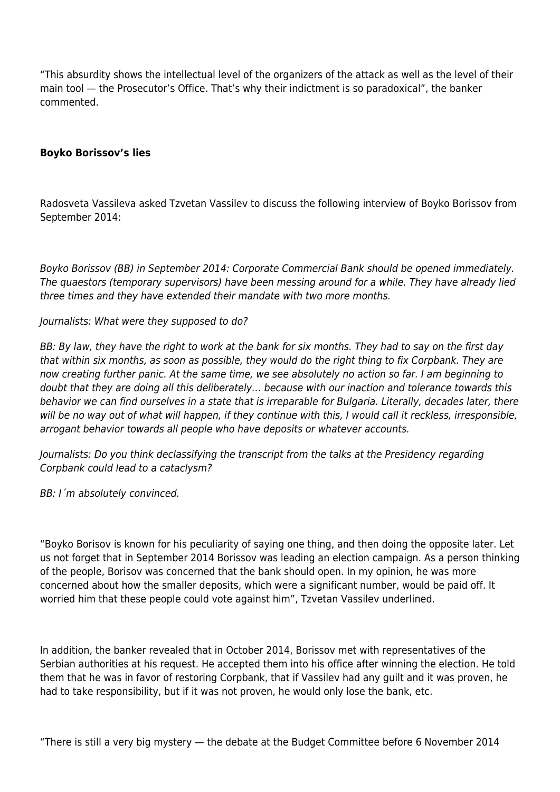"This absurdity shows the intellectual level of the organizers of the attack as well as the level of their main tool — the Prosecutor's Office. That's why their indictment is so paradoxical", the banker commented.

# **Boyko Borissov's lies**

Radosveta Vassileva asked Tzvetan Vassilev to discuss the following interview of Boyko Borissov from September 2014:

Boyko Borissov (BB) in September 2014: Corporate Commercial Bank should be opened immediately. The quaestors (temporary supervisors) have been messing around for a while. They have already lied three times and they have extended their mandate with two more months.

### Journalists: What were they supposed to do?

BB: By law, they have the right to work at the bank for six months. They had to say on the first day that within six months, as soon as possible, they would do the right thing to fix Corpbank. They are now creating further panic. At the same time, we see absolutely no action so far. I am beginning to doubt that they are doing all this deliberately… because with our inaction and tolerance towards this behavior we can find ourselves in a state that is irreparable for Bulgaria. Literally, decades later, there will be no way out of what will happen, if they continue with this, I would call it reckless, irresponsible, arrogant behavior towards all people who have deposits or whatever accounts.

Journalists: Do you think declassifying the transcript from the talks at the Presidency regarding Corpbank could lead to a cataclysm?

BB: I´m absolutely convinced.

"Boyko Borisov is known for his peculiarity of saying one thing, and then doing the opposite later. Let us not forget that in September 2014 Borissov was leading an election campaign. As a person thinking of the people, Borisov was concerned that the bank should open. In my opinion, he was more concerned about how the smaller deposits, which were a significant number, would be paid off. It worried him that these people could vote against him", Tzvetan Vassilev underlined.

In addition, the banker revealed that in October 2014, Borissov met with representatives of the Serbian authorities at his request. He accepted them into his office after winning the election. He told them that he was in favor of restoring Corpbank, that if Vassilev had any guilt and it was proven, he had to take responsibility, but if it was not proven, he would only lose the bank, etc.